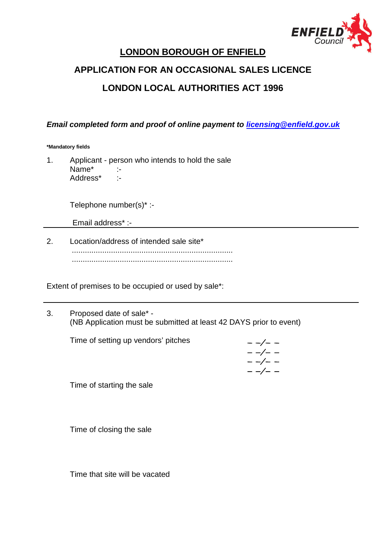

# **LONDON BOROUGH OF ENFIELD**

# **APPLICATION FOR AN OCCASIONAL SALES LICENCE LONDON LOCAL AUTHORITIES ACT 1996**

*Email completed form and proof of online payment to [licensing@enfield.gov.uk](mailto:licensing@enfield.gov.uk)*

**\*Mandatory fields**

1. Applicant - person who intends to hold the sale Name<sup>\*</sup> :-Address\* :-

Telephone number(s)\* :-

Email address\* :-

2. Location/address of intended sale site\* .......................................................................... ..........................................................................

Extent of premises to be occupied or used by sale\*:

3. Proposed date of sale\* - (NB Application must be submitted at least 42 DAYS prior to event)

Time of setting up vendors' pitches

 $- -/- - -/- - -/- - -/- -$ 

Time of starting the sale

Time of closing the sale

Time that site will be vacated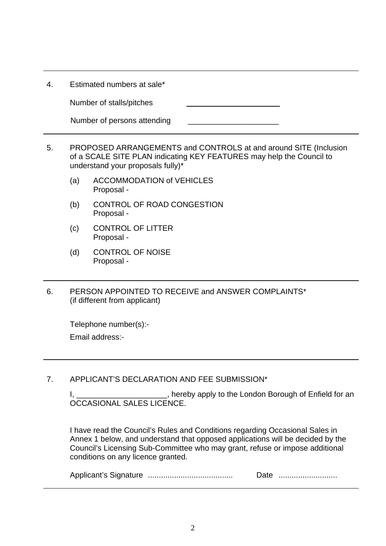Number of stalls/pitches

| Number of persons attending |  |
|-----------------------------|--|
|-----------------------------|--|

- 5. PROPOSED ARRANGEMENTS and CONTROLS at and around SITE (Inclusion of a SCALE SITE PLAN indicating KEY FEATURES may help the Council to understand your proposals fully)\*
	- (a) ACCOMMODATION of VEHICLES Proposal -
	- (b) CONTROL OF ROAD CONGESTION Proposal -
	- (c) CONTROL OF LITTER Proposal -
	- (d) CONTROL OF NOISE Proposal -
- 6. PERSON APPOINTED TO RECEIVE and ANSWER COMPLAINTS\* (if different from applicant)

Telephone number(s):- Email address:-

7. APPLICANT'S DECLARATION AND FEE SUBMISSION\*

I, \_\_\_\_\_\_\_\_\_\_\_\_\_\_\_\_\_\_\_\_\_, hereby apply to the London Borough of Enfield for an OCCASIONAL SALES LICENCE.

I have read the Council's Rules and Conditions regarding Occasional Sales in Annex 1 below, and understand that opposed applications will be decided by the Council's Licensing Sub-Committee who may grant, refuse or impose additional conditions on any licence granted.

Applicant's Signature ....................................... Date ...........................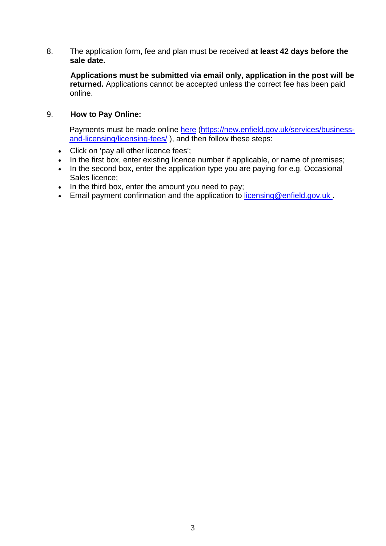8. The application form, fee and plan must be received **at least 42 days before the sale date.** 

 **Applications must be submitted via email only, application in the post will be returned.** Applications cannot be accepted unless the correct fee has been paid online.

## 9. **How to Pay Online:**

Payments must be made online [here](https://new.enfield.gov.uk/services/business-and-licensing/licensing-fees/) [\(https://new.enfield.gov.uk/services/business](https://new.enfield.gov.uk/services/business-and-licensing/licensing-fees/)[and-licensing/licensing-fees/](https://new.enfield.gov.uk/services/business-and-licensing/licensing-fees/) ), and then follow these steps:

- Click on 'pay all other licence fees';
- In the first box, enter existing licence number if applicable, or name of premises;
- In the second box, enter the application type you are paying for e.g. Occasional Sales licence;
- In the third box, enter the amount you need to pay;
- Email payment confirmation and the application to [licensing@enfield.gov.uk](mailto:licensing@enfield.gov.uk) .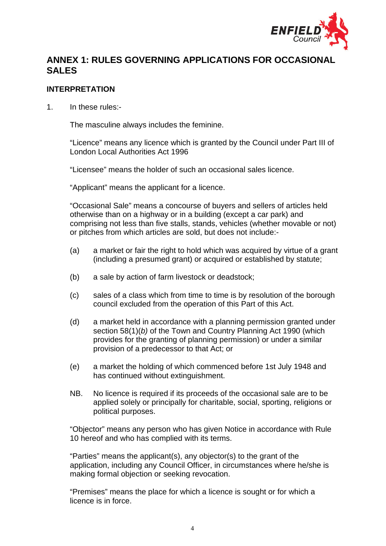

# **ANNEX 1: RULES GOVERNING APPLICATIONS FOR OCCASIONAL SALES**

#### **INTERPRETATION**

1. In these rules:-

The masculine always includes the feminine.

"Licence" means any licence which is granted by the Council under Part III of London Local Authorities Act 1996

"Licensee" means the holder of such an occasional sales licence.

"Applicant" means the applicant for a licence.

"Occasional Sale" means a concourse of buyers and sellers of articles held otherwise than on a highway or in a building (except a car park) and comprising not less than five stalls, stands, vehicles (whether movable or not) or pitches from which articles are sold, but does not include:-

- (a) a market or fair the right to hold which was acquired by virtue of a grant (including a presumed grant) or acquired or established by statute;
- (b) a sale by action of farm livestock or deadstock;
- (c) sales of a class which from time to time is by resolution of the borough council excluded from the operation of this Part of this Act.
- (d) a market held in accordance with a planning permission granted under section 58(1)(*b)* of the Town and Country Planning Act 1990 (which provides for the granting of planning permission) or under a similar provision of a predecessor to that Act; or
- (e) a market the holding of which commenced before 1st July 1948 and has continued without extinguishment.
- NB. No licence is required if its proceeds of the occasional sale are to be applied solely or principally for charitable, social, sporting, religions or political purposes.

"Objector" means any person who has given Notice in accordance with Rule 10 hereof and who has complied with its terms.

"Parties" means the applicant(s), any objector(s) to the grant of the application, including any Council Officer, in circumstances where he/she is making formal objection or seeking revocation.

"Premises" means the place for which a licence is sought or for which a licence is in force.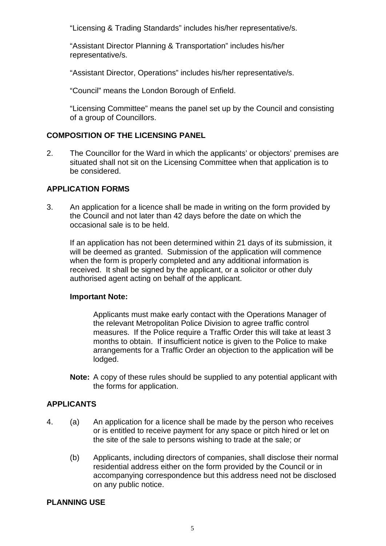"Licensing & Trading Standards" includes his/her representative/s.

"Assistant Director Planning & Transportation" includes his/her representative/s.

"Assistant Director, Operations" includes his/her representative/s.

"Council" means the London Borough of Enfield.

"Licensing Committee" means the panel set up by the Council and consisting of a group of Councillors.

#### **COMPOSITION OF THE LICENSING PANEL**

2. The Councillor for the Ward in which the applicants' or objectors' premises are situated shall not sit on the Licensing Committee when that application is to be considered.

## **APPLICATION FORMS**

3. An application for a licence shall be made in writing on the form provided by the Council and not later than 42 days before the date on which the occasional sale is to be held.

If an application has not been determined within 21 days of its submission, it will be deemed as granted. Submission of the application will commence when the form is properly completed and any additional information is received. It shall be signed by the applicant, or a solicitor or other duly authorised agent acting on behalf of the applicant.

#### **Important Note:**

Applicants must make early contact with the Operations Manager of the relevant Metropolitan Police Division to agree traffic control measures. If the Police require a Traffic Order this will take at least 3 months to obtain. If insufficient notice is given to the Police to make arrangements for a Traffic Order an objection to the application will be lodged.

**Note:** A copy of these rules should be supplied to any potential applicant with the forms for application.

## **APPLICANTS**

- 4. (a) An application for a licence shall be made by the person who receives or is entitled to receive payment for any space or pitch hired or let on the site of the sale to persons wishing to trade at the sale; or
	- (b) Applicants, including directors of companies, shall disclose their normal residential address either on the form provided by the Council or in accompanying correspondence but this address need not be disclosed on any public notice.

#### **PLANNING USE**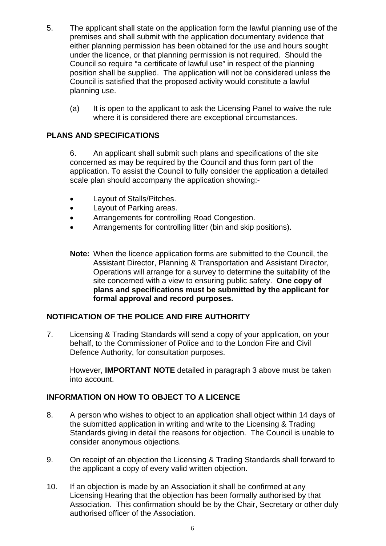- 5. The applicant shall state on the application form the lawful planning use of the premises and shall submit with the application documentary evidence that either planning permission has been obtained for the use and hours sought under the licence, or that planning permission is not required. Should the Council so require "a certificate of lawful use" in respect of the planning position shall be supplied. The application will not be considered unless the Council is satisfied that the proposed activity would constitute a lawful planning use.
	- (a) It is open to the applicant to ask the Licensing Panel to waive the rule where it is considered there are exceptional circumstances.

## **PLANS AND SPECIFICATIONS**

6. An applicant shall submit such plans and specifications of the site concerned as may be required by the Council and thus form part of the application. To assist the Council to fully consider the application a detailed scale plan should accompany the application showing:-

- Layout of Stalls/Pitches.
- Layout of Parking areas.
- Arrangements for controlling Road Congestion.
- Arrangements for controlling litter (bin and skip positions).
- **Note:** When the licence application forms are submitted to the Council, the Assistant Director, Planning & Transportation and Assistant Director, Operations will arrange for a survey to determine the suitability of the site concerned with a view to ensuring public safety. **One copy of plans and specifications must be submitted by the applicant for formal approval and record purposes.**

# **NOTIFICATION OF THE POLICE AND FIRE AUTHORITY**

7. Licensing & Trading Standards will send a copy of your application, on your behalf, to the Commissioner of Police and to the London Fire and Civil Defence Authority, for consultation purposes.

However, **IMPORTANT NOTE** detailed in paragraph 3 above must be taken into account.

#### **INFORMATION ON HOW TO OBJECT TO A LICENCE**

- 8. A person who wishes to object to an application shall object within 14 days of the submitted application in writing and write to the Licensing & Trading Standards giving in detail the reasons for objection. The Council is unable to consider anonymous objections.
- 9. On receipt of an objection the Licensing & Trading Standards shall forward to the applicant a copy of every valid written objection.
- 10. If an objection is made by an Association it shall be confirmed at any Licensing Hearing that the objection has been formally authorised by that Association. This confirmation should be by the Chair, Secretary or other duly authorised officer of the Association.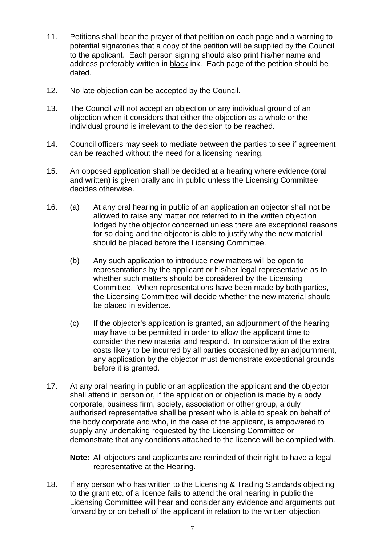- 11. Petitions shall bear the prayer of that petition on each page and a warning to potential signatories that a copy of the petition will be supplied by the Council to the applicant. Each person signing should also print his/her name and address preferably written in black ink. Each page of the petition should be dated.
- 12. No late objection can be accepted by the Council.
- 13. The Council will not accept an objection or any individual ground of an objection when it considers that either the objection as a whole or the individual ground is irrelevant to the decision to be reached.
- 14. Council officers may seek to mediate between the parties to see if agreement can be reached without the need for a licensing hearing.
- 15. An opposed application shall be decided at a hearing where evidence (oral and written) is given orally and in public unless the Licensing Committee decides otherwise.
- 16. (a) At any oral hearing in public of an application an objector shall not be allowed to raise any matter not referred to in the written objection lodged by the objector concerned unless there are exceptional reasons for so doing and the objector is able to justify why the new material should be placed before the Licensing Committee.
	- (b) Any such application to introduce new matters will be open to representations by the applicant or his/her legal representative as to whether such matters should be considered by the Licensing Committee. When representations have been made by both parties, the Licensing Committee will decide whether the new material should be placed in evidence.
	- (c) If the objector's application is granted, an adjournment of the hearing may have to be permitted in order to allow the applicant time to consider the new material and respond. In consideration of the extra costs likely to be incurred by all parties occasioned by an adjournment, any application by the objector must demonstrate exceptional grounds before it is granted.
- 17. At any oral hearing in public or an application the applicant and the objector shall attend in person or, if the application or objection is made by a body corporate, business firm, society, association or other group, a duly authorised representative shall be present who is able to speak on behalf of the body corporate and who, in the case of the applicant, is empowered to supply any undertaking requested by the Licensing Committee or demonstrate that any conditions attached to the licence will be complied with.

**Note:** All objectors and applicants are reminded of their right to have a legal representative at the Hearing.

18. If any person who has written to the Licensing & Trading Standards objecting to the grant etc. of a licence fails to attend the oral hearing in public the Licensing Committee will hear and consider any evidence and arguments put forward by or on behalf of the applicant in relation to the written objection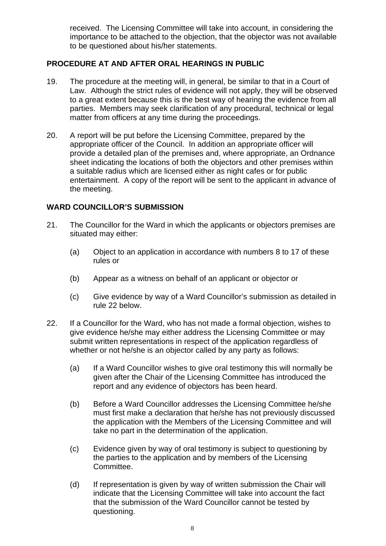received. The Licensing Committee will take into account, in considering the importance to be attached to the objection, that the objector was not available to be questioned about his/her statements.

# **PROCEDURE AT AND AFTER ORAL HEARINGS IN PUBLIC**

- 19. The procedure at the meeting will, in general, be similar to that in a Court of Law. Although the strict rules of evidence will not apply, they will be observed to a great extent because this is the best way of hearing the evidence from all parties. Members may seek clarification of any procedural, technical or legal matter from officers at any time during the proceedings.
- 20. A report will be put before the Licensing Committee, prepared by the appropriate officer of the Council. In addition an appropriate officer will provide a detailed plan of the premises and, where appropriate, an Ordnance sheet indicating the locations of both the objectors and other premises within a suitable radius which are licensed either as night cafes or for public entertainment. A copy of the report will be sent to the applicant in advance of the meeting.

## **WARD COUNCILLOR'S SUBMISSION**

- 21. The Councillor for the Ward in which the applicants or objectors premises are situated may either:
	- (a) Object to an application in accordance with numbers 8 to 17 of these rules or
	- (b) Appear as a witness on behalf of an applicant or objector or
	- (c) Give evidence by way of a Ward Councillor's submission as detailed in rule 22 below.
- 22. If a Councillor for the Ward, who has not made a formal objection, wishes to give evidence he/she may either address the Licensing Committee or may submit written representations in respect of the application regardless of whether or not he/she is an objector called by any party as follows:
	- (a) If a Ward Councillor wishes to give oral testimony this will normally be given after the Chair of the Licensing Committee has introduced the report and any evidence of objectors has been heard.
	- (b) Before a Ward Councillor addresses the Licensing Committee he/she must first make a declaration that he/she has not previously discussed the application with the Members of the Licensing Committee and will take no part in the determination of the application.
	- (c) Evidence given by way of oral testimony is subject to questioning by the parties to the application and by members of the Licensing Committee.
	- (d) If representation is given by way of written submission the Chair will indicate that the Licensing Committee will take into account the fact that the submission of the Ward Councillor cannot be tested by questioning.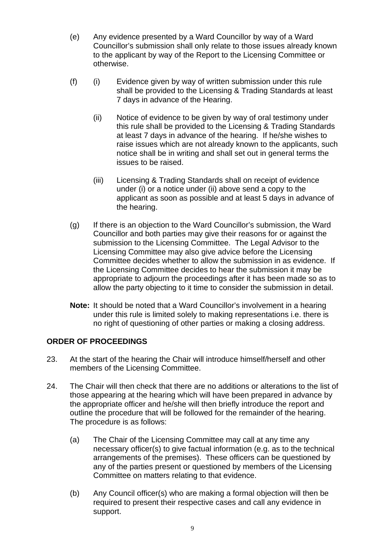- (e) Any evidence presented by a Ward Councillor by way of a Ward Councillor's submission shall only relate to those issues already known to the applicant by way of the Report to the Licensing Committee or otherwise.
- (f) (i) Evidence given by way of written submission under this rule shall be provided to the Licensing & Trading Standards at least 7 days in advance of the Hearing.
	- (ii) Notice of evidence to be given by way of oral testimony under this rule shall be provided to the Licensing & Trading Standards at least 7 days in advance of the hearing. If he/she wishes to raise issues which are not already known to the applicants, such notice shall be in writing and shall set out in general terms the issues to be raised.
	- (iii) Licensing & Trading Standards shall on receipt of evidence under (i) or a notice under (ii) above send a copy to the applicant as soon as possible and at least 5 days in advance of the hearing.
- (g) If there is an objection to the Ward Councillor's submission, the Ward Councillor and both parties may give their reasons for or against the submission to the Licensing Committee. The Legal Advisor to the Licensing Committee may also give advice before the Licensing Committee decides whether to allow the submission in as evidence. If the Licensing Committee decides to hear the submission it may be appropriate to adjourn the proceedings after it has been made so as to allow the party objecting to it time to consider the submission in detail.
- **Note:** It should be noted that a Ward Councillor's involvement in a hearing under this rule is limited solely to making representations i.e. there is no right of questioning of other parties or making a closing address.

#### **ORDER OF PROCEEDINGS**

- 23. At the start of the hearing the Chair will introduce himself/herself and other members of the Licensing Committee.
- 24. The Chair will then check that there are no additions or alterations to the list of those appearing at the hearing which will have been prepared in advance by the appropriate officer and he/she will then briefly introduce the report and outline the procedure that will be followed for the remainder of the hearing. The procedure is as follows:
	- (a) The Chair of the Licensing Committee may call at any time any necessary officer(s) to give factual information (e.g. as to the technical arrangements of the premises). These officers can be questioned by any of the parties present or questioned by members of the Licensing Committee on matters relating to that evidence.
	- (b) Any Council officer(s) who are making a formal objection will then be required to present their respective cases and call any evidence in support.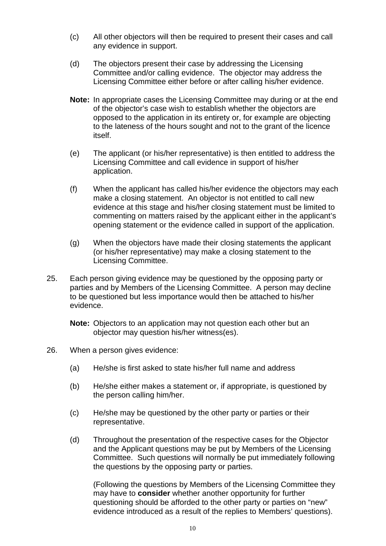- (c) All other objectors will then be required to present their cases and call any evidence in support.
- (d) The objectors present their case by addressing the Licensing Committee and/or calling evidence. The objector may address the Licensing Committee either before or after calling his/her evidence.
- **Note:** In appropriate cases the Licensing Committee may during or at the end of the objector's case wish to establish whether the objectors are opposed to the application in its entirety or, for example are objecting to the lateness of the hours sought and not to the grant of the licence itself.
- (e) The applicant (or his/her representative) is then entitled to address the Licensing Committee and call evidence in support of his/her application.
- (f) When the applicant has called his/her evidence the objectors may each make a closing statement. An objector is not entitled to call new evidence at this stage and his/her closing statement must be limited to commenting on matters raised by the applicant either in the applicant's opening statement or the evidence called in support of the application.
- (g) When the objectors have made their closing statements the applicant (or his/her representative) may make a closing statement to the Licensing Committee.
- 25. Each person giving evidence may be questioned by the opposing party or parties and by Members of the Licensing Committee. A person may decline to be questioned but less importance would then be attached to his/her evidence.

**Note:** Objectors to an application may not question each other but an objector may question his/her witness(es).

- 26. When a person gives evidence:
	- (a) He/she is first asked to state his/her full name and address
	- (b) He/she either makes a statement or, if appropriate, is questioned by the person calling him/her.
	- (c) He/she may be questioned by the other party or parties or their representative.
	- (d) Throughout the presentation of the respective cases for the Objector and the Applicant questions may be put by Members of the Licensing Committee. Such questions will normally be put immediately following the questions by the opposing party or parties.

(Following the questions by Members of the Licensing Committee they may have to **consider** whether another opportunity for further questioning should be afforded to the other party or parties on "new" evidence introduced as a result of the replies to Members' questions).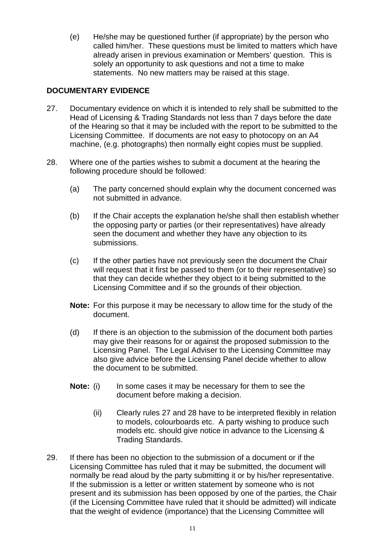(e) He/she may be questioned further (if appropriate) by the person who called him/her. These questions must be limited to matters which have already arisen in previous examination or Members' question. This is solely an opportunity to ask questions and not a time to make statements. No new matters may be raised at this stage.

# **DOCUMENTARY EVIDENCE**

- 27. Documentary evidence on which it is intended to rely shall be submitted to the Head of Licensing & Trading Standards not less than 7 days before the date of the Hearing so that it may be included with the report to be submitted to the Licensing Committee. If documents are not easy to photocopy on an A4 machine, (e.g. photographs) then normally eight copies must be supplied.
- 28. Where one of the parties wishes to submit a document at the hearing the following procedure should be followed:
	- (a) The party concerned should explain why the document concerned was not submitted in advance.
	- (b) If the Chair accepts the explanation he/she shall then establish whether the opposing party or parties (or their representatives) have already seen the document and whether they have any objection to its submissions.
	- (c) If the other parties have not previously seen the document the Chair will request that it first be passed to them (or to their representative) so that they can decide whether they object to it being submitted to the Licensing Committee and if so the grounds of their objection.
	- **Note:** For this purpose it may be necessary to allow time for the study of the document.
	- (d) If there is an objection to the submission of the document both parties may give their reasons for or against the proposed submission to the Licensing Panel. The Legal Adviser to the Licensing Committee may also give advice before the Licensing Panel decide whether to allow the document to be submitted.
	- **Note:** (i) In some cases it may be necessary for them to see the document before making a decision.
		- (ii) Clearly rules 27 and 28 have to be interpreted flexibly in relation to models, colourboards etc. A party wishing to produce such models etc. should give notice in advance to the Licensing & Trading Standards.
- 29. If there has been no objection to the submission of a document or if the Licensing Committee has ruled that it may be submitted, the document will normally be read aloud by the party submitting it or by his/her representative. If the submission is a letter or written statement by someone who is not present and its submission has been opposed by one of the parties, the Chair (if the Licensing Committee have ruled that it should be admitted) will indicate that the weight of evidence (importance) that the Licensing Committee will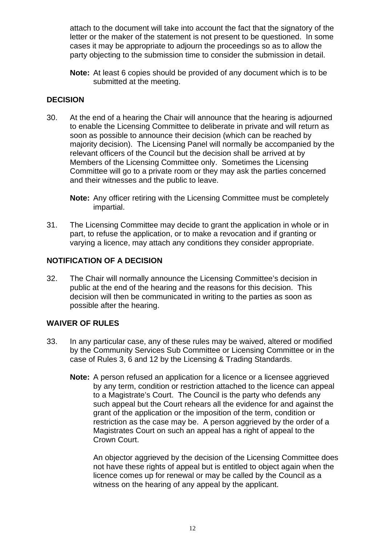attach to the document will take into account the fact that the signatory of the letter or the maker of the statement is not present to be questioned. In some cases it may be appropriate to adjourn the proceedings so as to allow the party objecting to the submission time to consider the submission in detail.

**Note:** At least 6 copies should be provided of any document which is to be submitted at the meeting.

# **DECISION**

30. At the end of a hearing the Chair will announce that the hearing is adjourned to enable the Licensing Committee to deliberate in private and will return as soon as possible to announce their decision (which can be reached by majority decision). The Licensing Panel will normally be accompanied by the relevant officers of the Council but the decision shall be arrived at by Members of the Licensing Committee only. Sometimes the Licensing Committee will go to a private room or they may ask the parties concerned and their witnesses and the public to leave.

**Note:** Any officer retiring with the Licensing Committee must be completely impartial.

31. The Licensing Committee may decide to grant the application in whole or in part, to refuse the application, or to make a revocation and if granting or varying a licence, may attach any conditions they consider appropriate.

# **NOTIFICATION OF A DECISION**

32. The Chair will normally announce the Licensing Committee's decision in public at the end of the hearing and the reasons for this decision. This decision will then be communicated in writing to the parties as soon as possible after the hearing.

# **WAIVER OF RULES**

- 33. In any particular case, any of these rules may be waived, altered or modified by the Community Services Sub Committee or Licensing Committee or in the case of Rules 3, 6 and 12 by the Licensing & Trading Standards.
	- **Note:** A person refused an application for a licence or a licensee aggrieved by any term, condition or restriction attached to the licence can appeal to a Magistrate's Court. The Council is the party who defends any such appeal but the Court rehears all the evidence for and against the grant of the application or the imposition of the term, condition or restriction as the case may be. A person aggrieved by the order of a Magistrates Court on such an appeal has a right of appeal to the Crown Court.

An objector aggrieved by the decision of the Licensing Committee does not have these rights of appeal but is entitled to object again when the licence comes up for renewal or may be called by the Council as a witness on the hearing of any appeal by the applicant.